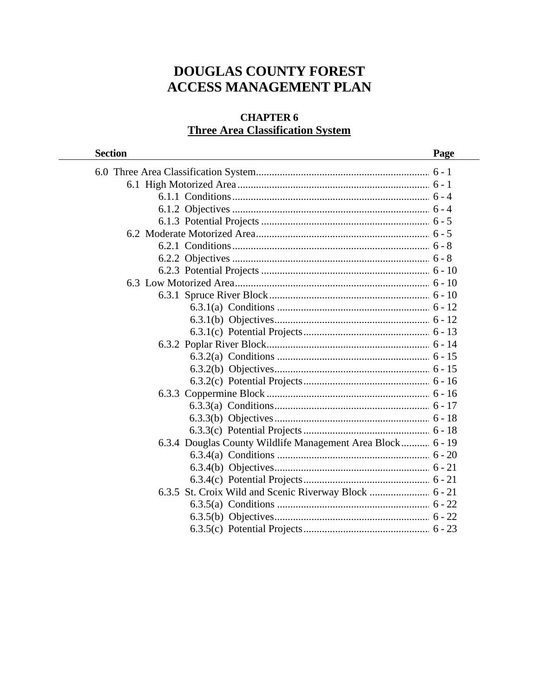# **DOUGLAS COUNTY FOREST ACCESS MANAGEMENT PLAN**

# **CHAPTER 6 Three Area Classification System**

| <b>Section</b>                                             | Page |
|------------------------------------------------------------|------|
|                                                            |      |
|                                                            |      |
|                                                            |      |
|                                                            |      |
|                                                            |      |
|                                                            |      |
|                                                            |      |
|                                                            |      |
|                                                            |      |
|                                                            |      |
|                                                            |      |
|                                                            |      |
|                                                            |      |
|                                                            |      |
|                                                            |      |
|                                                            |      |
|                                                            |      |
|                                                            |      |
|                                                            |      |
|                                                            |      |
|                                                            |      |
|                                                            |      |
| 6.3.4 Douglas County Wildlife Management Area Block 6 - 19 |      |
|                                                            |      |
|                                                            |      |
|                                                            |      |
|                                                            |      |
|                                                            |      |
|                                                            |      |
|                                                            |      |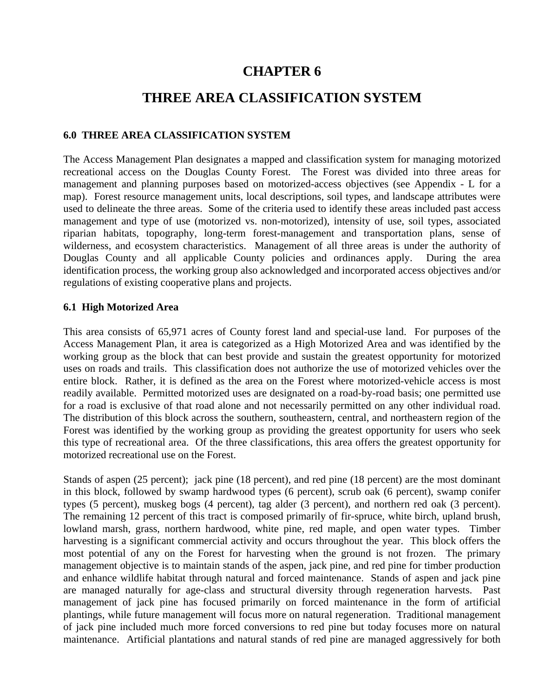# **CHAPTER 6**

# **THREE AREA CLASSIFICATION SYSTEM**

# **6.0 THREE AREA CLASSIFICATION SYSTEM**

The Access Management Plan designates a mapped and classification system for managing motorized recreational access on the Douglas County Forest. The Forest was divided into three areas for management and planning purposes based on motorized-access objectives (see Appendix - L for a map). Forest resource management units, local descriptions, soil types, and landscape attributes were used to delineate the three areas. Some of the criteria used to identify these areas included past access management and type of use (motorized vs. non-motorized), intensity of use, soil types, associated riparian habitats, topography, long-term forest-management and transportation plans, sense of wilderness, and ecosystem characteristics. Management of all three areas is under the authority of Douglas County and all applicable County policies and ordinances apply. During the area identification process, the working group also acknowledged and incorporated access objectives and/or regulations of existing cooperative plans and projects.

## **6.1 High Motorized Area**

This area consists of 65,971 acres of County forest land and special-use land. For purposes of the Access Management Plan, it area is categorized as a High Motorized Area and was identified by the working group as the block that can best provide and sustain the greatest opportunity for motorized uses on roads and trails. This classification does not authorize the use of motorized vehicles over the entire block. Rather, it is defined as the area on the Forest where motorized-vehicle access is most readily available. Permitted motorized uses are designated on a road-by-road basis; one permitted use for a road is exclusive of that road alone and not necessarily permitted on any other individual road. The distribution of this block across the southern, southeastern, central, and northeastern region of the Forest was identified by the working group as providing the greatest opportunity for users who seek this type of recreational area. Of the three classifications, this area offers the greatest opportunity for motorized recreational use on the Forest.

Stands of aspen (25 percent); jack pine (18 percent), and red pine (18 percent) are the most dominant in this block, followed by swamp hardwood types (6 percent), scrub oak (6 percent), swamp conifer types (5 percent), muskeg bogs (4 percent), tag alder (3 percent), and northern red oak (3 percent). The remaining 12 percent of this tract is composed primarily of fir-spruce, white birch, upland brush, lowland marsh, grass, northern hardwood, white pine, red maple, and open water types. Timber harvesting is a significant commercial activity and occurs throughout the year. This block offers the most potential of any on the Forest for harvesting when the ground is not frozen. The primary management objective is to maintain stands of the aspen, jack pine, and red pine for timber production and enhance wildlife habitat through natural and forced maintenance. Stands of aspen and jack pine are managed naturally for age-class and structural diversity through regeneration harvests. Past management of jack pine has focused primarily on forced maintenance in the form of artificial plantings, while future management will focus more on natural regeneration. Traditional management of jack pine included much more forced conversions to red pine but today focuses more on natural maintenance. Artificial plantations and natural stands of red pine are managed aggressively for both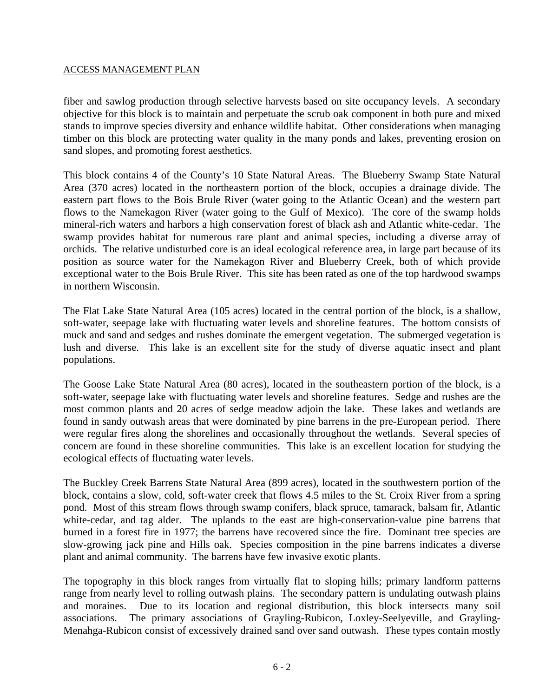fiber and sawlog production through selective harvests based on site occupancy levels. A secondary objective for this block is to maintain and perpetuate the scrub oak component in both pure and mixed stands to improve species diversity and enhance wildlife habitat. Other considerations when managing timber on this block are protecting water quality in the many ponds and lakes, preventing erosion on sand slopes, and promoting forest aesthetics.

This block contains 4 of the County's 10 State Natural Areas. The Blueberry Swamp State Natural Area (370 acres) located in the northeastern portion of the block, occupies a drainage divide. The eastern part flows to the Bois Brule River (water going to the Atlantic Ocean) and the western part flows to the Namekagon River (water going to the Gulf of Mexico). The core of the swamp holds mineral-rich waters and harbors a high conservation forest of black ash and Atlantic white-cedar. The swamp provides habitat for numerous rare plant and animal species, including a diverse array of orchids. The relative undisturbed core is an ideal ecological reference area, in large part because of its position as source water for the Namekagon River and Blueberry Creek, both of which provide exceptional water to the Bois Brule River. This site has been rated as one of the top hardwood swamps in northern Wisconsin.

The Flat Lake State Natural Area (105 acres) located in the central portion of the block, is a shallow, soft-water, seepage lake with fluctuating water levels and shoreline features. The bottom consists of muck and sand and sedges and rushes dominate the emergent vegetation. The submerged vegetation is lush and diverse. This lake is an excellent site for the study of diverse aquatic insect and plant populations.

The Goose Lake State Natural Area (80 acres), located in the southeastern portion of the block, is a soft-water, seepage lake with fluctuating water levels and shoreline features. Sedge and rushes are the most common plants and 20 acres of sedge meadow adjoin the lake. These lakes and wetlands are found in sandy outwash areas that were dominated by pine barrens in the pre-European period. There were regular fires along the shorelines and occasionally throughout the wetlands. Several species of concern are found in these shoreline communities. This lake is an excellent location for studying the ecological effects of fluctuating water levels.

The Buckley Creek Barrens State Natural Area (899 acres), located in the southwestern portion of the block, contains a slow, cold, soft-water creek that flows 4.5 miles to the St. Croix River from a spring pond. Most of this stream flows through swamp conifers, black spruce, tamarack, balsam fir, Atlantic white-cedar, and tag alder. The uplands to the east are high-conservation-value pine barrens that burned in a forest fire in 1977; the barrens have recovered since the fire. Dominant tree species are slow-growing jack pine and Hills oak. Species composition in the pine barrens indicates a diverse plant and animal community. The barrens have few invasive exotic plants.

The topography in this block ranges from virtually flat to sloping hills; primary landform patterns range from nearly level to rolling outwash plains. The secondary pattern is undulating outwash plains and moraines. Due to its location and regional distribution, this block intersects many soil associations. The primary associations of Grayling-Rubicon, Loxley-Seelyeville, and Grayling-Menahga-Rubicon consist of excessively drained sand over sand outwash. These types contain mostly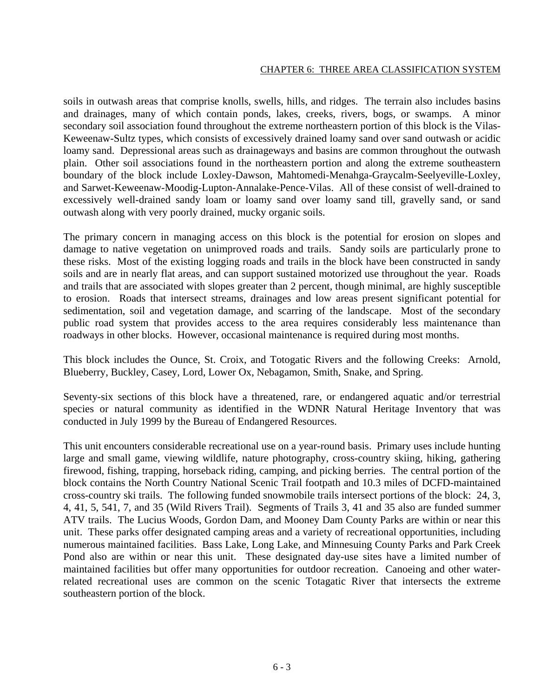soils in outwash areas that comprise knolls, swells, hills, and ridges. The terrain also includes basins and drainages, many of which contain ponds, lakes, creeks, rivers, bogs, or swamps. A minor secondary soil association found throughout the extreme northeastern portion of this block is the Vilas-Keweenaw-Sultz types, which consists of excessively drained loamy sand over sand outwash or acidic loamy sand. Depressional areas such as drainageways and basins are common throughout the outwash plain. Other soil associations found in the northeastern portion and along the extreme southeastern boundary of the block include Loxley-Dawson, Mahtomedi-Menahga-Graycalm-Seelyeville-Loxley, and Sarwet-Keweenaw-Moodig-Lupton-Annalake-Pence-Vilas. All of these consist of well-drained to excessively well-drained sandy loam or loamy sand over loamy sand till, gravelly sand, or sand outwash along with very poorly drained, mucky organic soils.

The primary concern in managing access on this block is the potential for erosion on slopes and damage to native vegetation on unimproved roads and trails. Sandy soils are particularly prone to these risks. Most of the existing logging roads and trails in the block have been constructed in sandy soils and are in nearly flat areas, and can support sustained motorized use throughout the year. Roads and trails that are associated with slopes greater than 2 percent, though minimal, are highly susceptible to erosion. Roads that intersect streams, drainages and low areas present significant potential for sedimentation, soil and vegetation damage, and scarring of the landscape. Most of the secondary public road system that provides access to the area requires considerably less maintenance than roadways in other blocks. However, occasional maintenance is required during most months.

This block includes the Ounce, St. Croix, and Totogatic Rivers and the following Creeks: Arnold, Blueberry, Buckley, Casey, Lord, Lower Ox, Nebagamon, Smith, Snake, and Spring.

Seventy-six sections of this block have a threatened, rare, or endangered aquatic and/or terrestrial species or natural community as identified in the WDNR Natural Heritage Inventory that was conducted in July 1999 by the Bureau of Endangered Resources.

This unit encounters considerable recreational use on a year-round basis. Primary uses include hunting large and small game, viewing wildlife, nature photography, cross-country skiing, hiking, gathering firewood, fishing, trapping, horseback riding, camping, and picking berries. The central portion of the block contains the North Country National Scenic Trail footpath and 10.3 miles of DCFD-maintained cross-country ski trails. The following funded snowmobile trails intersect portions of the block: 24, 3, 4, 41, 5, 541, 7, and 35 (Wild Rivers Trail). Segments of Trails 3, 41 and 35 also are funded summer ATV trails. The Lucius Woods, Gordon Dam, and Mooney Dam County Parks are within or near this unit. These parks offer designated camping areas and a variety of recreational opportunities, including numerous maintained facilities. Bass Lake, Long Lake, and Minnesuing County Parks and Park Creek Pond also are within or near this unit. These designated day-use sites have a limited number of maintained facilities but offer many opportunities for outdoor recreation. Canoeing and other waterrelated recreational uses are common on the scenic Totagatic River that intersects the extreme southeastern portion of the block.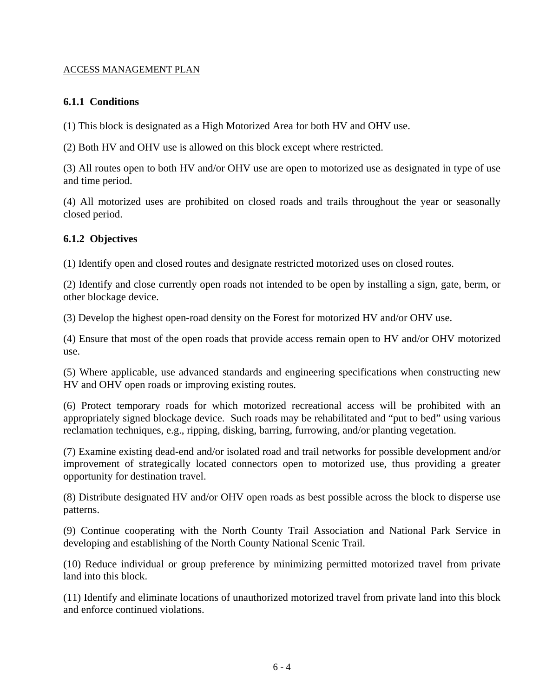# **6.1.1 Conditions**

(1) This block is designated as a High Motorized Area for both HV and OHV use.

(2) Both HV and OHV use is allowed on this block except where restricted.

(3) All routes open to both HV and/or OHV use are open to motorized use as designated in type of use and time period.

(4) All motorized uses are prohibited on closed roads and trails throughout the year or seasonally closed period.

# **6.1.2 Objectives**

(1) Identify open and closed routes and designate restricted motorized uses on closed routes.

(2) Identify and close currently open roads not intended to be open by installing a sign, gate, berm, or other blockage device.

(3) Develop the highest open-road density on the Forest for motorized HV and/or OHV use.

(4) Ensure that most of the open roads that provide access remain open to HV and/or OHV motorized use.

(5) Where applicable, use advanced standards and engineering specifications when constructing new HV and OHV open roads or improving existing routes.

(6) Protect temporary roads for which motorized recreational access will be prohibited with an appropriately signed blockage device. Such roads may be rehabilitated and "put to bed" using various reclamation techniques, e.g., ripping, disking, barring, furrowing, and/or planting vegetation.

(7) Examine existing dead-end and/or isolated road and trail networks for possible development and/or improvement of strategically located connectors open to motorized use, thus providing a greater opportunity for destination travel.

(8) Distribute designated HV and/or OHV open roads as best possible across the block to disperse use patterns.

(9) Continue cooperating with the North County Trail Association and National Park Service in developing and establishing of the North County National Scenic Trail.

(10) Reduce individual or group preference by minimizing permitted motorized travel from private land into this block.

(11) Identify and eliminate locations of unauthorized motorized travel from private land into this block and enforce continued violations.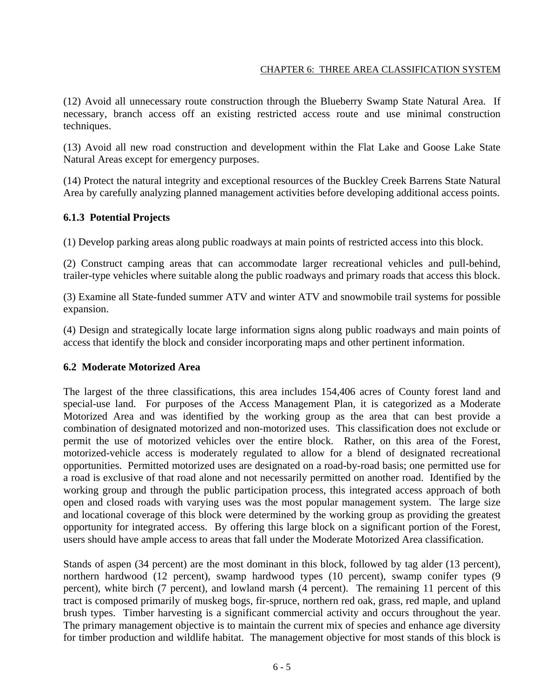(12) Avoid all unnecessary route construction through the Blueberry Swamp State Natural Area. If necessary, branch access off an existing restricted access route and use minimal construction techniques.

(13) Avoid all new road construction and development within the Flat Lake and Goose Lake State Natural Areas except for emergency purposes.

(14) Protect the natural integrity and exceptional resources of the Buckley Creek Barrens State Natural Area by carefully analyzing planned management activities before developing additional access points.

# **6.1.3 Potential Projects**

(1) Develop parking areas along public roadways at main points of restricted access into this block.

(2) Construct camping areas that can accommodate larger recreational vehicles and pull-behind, trailer-type vehicles where suitable along the public roadways and primary roads that access this block.

(3) Examine all State-funded summer ATV and winter ATV and snowmobile trail systems for possible expansion.

(4) Design and strategically locate large information signs along public roadways and main points of access that identify the block and consider incorporating maps and other pertinent information.

## **6.2 Moderate Motorized Area**

The largest of the three classifications, this area includes 154,406 acres of County forest land and special-use land. For purposes of the Access Management Plan, it is categorized as a Moderate Motorized Area and was identified by the working group as the area that can best provide a combination of designated motorized and non-motorized uses. This classification does not exclude or permit the use of motorized vehicles over the entire block. Rather, on this area of the Forest, motorized-vehicle access is moderately regulated to allow for a blend of designated recreational opportunities. Permitted motorized uses are designated on a road-by-road basis; one permitted use for a road is exclusive of that road alone and not necessarily permitted on another road. Identified by the working group and through the public participation process, this integrated access approach of both open and closed roads with varying uses was the most popular management system. The large size and locational coverage of this block were determined by the working group as providing the greatest opportunity for integrated access. By offering this large block on a significant portion of the Forest, users should have ample access to areas that fall under the Moderate Motorized Area classification.

Stands of aspen (34 percent) are the most dominant in this block, followed by tag alder (13 percent), northern hardwood (12 percent), swamp hardwood types (10 percent), swamp conifer types (9 percent), white birch (7 percent), and lowland marsh (4 percent). The remaining 11 percent of this tract is composed primarily of muskeg bogs, fir-spruce, northern red oak, grass, red maple, and upland brush types. Timber harvesting is a significant commercial activity and occurs throughout the year. The primary management objective is to maintain the current mix of species and enhance age diversity for timber production and wildlife habitat. The management objective for most stands of this block is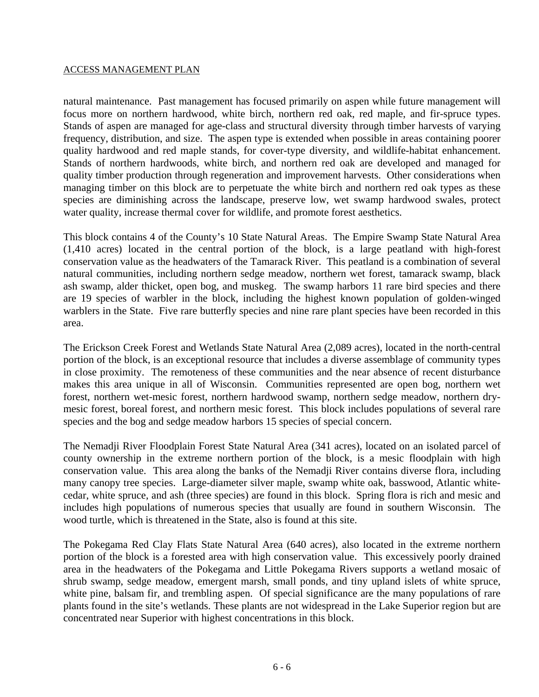natural maintenance. Past management has focused primarily on aspen while future management will focus more on northern hardwood, white birch, northern red oak, red maple, and fir-spruce types. Stands of aspen are managed for age-class and structural diversity through timber harvests of varying frequency, distribution, and size. The aspen type is extended when possible in areas containing poorer quality hardwood and red maple stands, for cover-type diversity, and wildlife-habitat enhancement. Stands of northern hardwoods, white birch, and northern red oak are developed and managed for quality timber production through regeneration and improvement harvests. Other considerations when managing timber on this block are to perpetuate the white birch and northern red oak types as these species are diminishing across the landscape, preserve low, wet swamp hardwood swales, protect water quality, increase thermal cover for wildlife, and promote forest aesthetics.

This block contains 4 of the County's 10 State Natural Areas. The Empire Swamp State Natural Area (1,410 acres) located in the central portion of the block, is a large peatland with high-forest conservation value as the headwaters of the Tamarack River. This peatland is a combination of several natural communities, including northern sedge meadow, northern wet forest, tamarack swamp, black ash swamp, alder thicket, open bog, and muskeg. The swamp harbors 11 rare bird species and there are 19 species of warbler in the block, including the highest known population of golden-winged warblers in the State. Five rare butterfly species and nine rare plant species have been recorded in this area.

The Erickson Creek Forest and Wetlands State Natural Area (2,089 acres), located in the north-central portion of the block, is an exceptional resource that includes a diverse assemblage of community types in close proximity. The remoteness of these communities and the near absence of recent disturbance makes this area unique in all of Wisconsin. Communities represented are open bog, northern wet forest, northern wet-mesic forest, northern hardwood swamp, northern sedge meadow, northern drymesic forest, boreal forest, and northern mesic forest. This block includes populations of several rare species and the bog and sedge meadow harbors 15 species of special concern.

The Nemadji River Floodplain Forest State Natural Area (341 acres), located on an isolated parcel of county ownership in the extreme northern portion of the block, is a mesic floodplain with high conservation value. This area along the banks of the Nemadji River contains diverse flora, including many canopy tree species. Large-diameter silver maple, swamp white oak, basswood, Atlantic whitecedar, white spruce, and ash (three species) are found in this block. Spring flora is rich and mesic and includes high populations of numerous species that usually are found in southern Wisconsin. The wood turtle, which is threatened in the State, also is found at this site.

The Pokegama Red Clay Flats State Natural Area (640 acres), also located in the extreme northern portion of the block is a forested area with high conservation value. This excessively poorly drained area in the headwaters of the Pokegama and Little Pokegama Rivers supports a wetland mosaic of shrub swamp, sedge meadow, emergent marsh, small ponds, and tiny upland islets of white spruce, white pine, balsam fir, and trembling aspen. Of special significance are the many populations of rare plants found in the site's wetlands. These plants are not widespread in the Lake Superior region but are concentrated near Superior with highest concentrations in this block.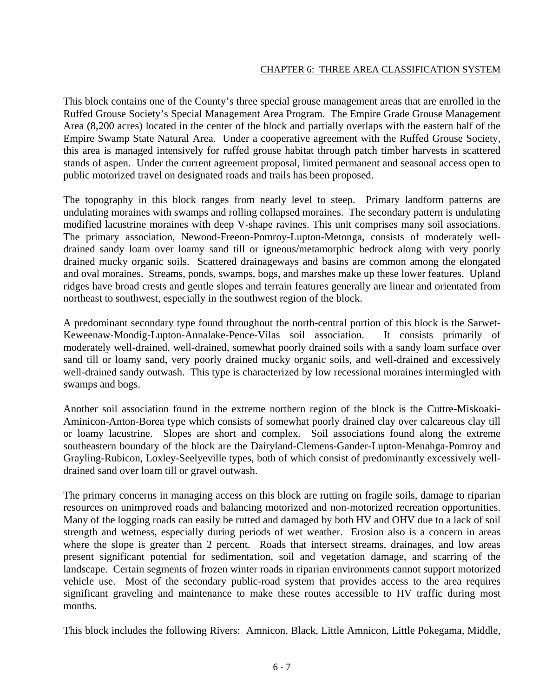This block contains one of the County's three special grouse management areas that are enrolled in the Ruffed Grouse Society's Special Management Area Program. The Empire Grade Grouse Management Area (8,200 acres) located in the center of the block and partially overlaps with the eastern half of the Empire Swamp State Natural Area. Under a cooperative agreement with the Ruffed Grouse Society, this area is managed intensively for ruffed grouse habitat through patch timber harvests in scattered stands of aspen. Under the current agreement proposal, limited permanent and seasonal access open to public motorized travel on designated roads and trails has been proposed.

The topography in this block ranges from nearly level to steep. Primary landform patterns are undulating moraines with swamps and rolling collapsed moraines. The secondary pattern is undulating modified lacustrine moraines with deep V-shape ravines. This unit comprises many soil associations. The primary association, Newood-Freeon-Pomroy-Lupton-Metonga, consists of moderately welldrained sandy loam over loamy sand till or igneous/metamorphic bedrock along with very poorly drained mucky organic soils. Scattered drainageways and basins are common among the elongated and oval moraines. Streams, ponds, swamps, bogs, and marshes make up these lower features. Upland ridges have broad crests and gentle slopes and terrain features generally are linear and orientated from northeast to southwest, especially in the southwest region of the block.

A predominant secondary type found throughout the north-central portion of this block is the Sarwet-Keweenaw-Moodig-Lupton-Annalake-Pence-Vilas soil association. It consists primarily of moderately well-drained, well-drained, somewhat poorly drained soils with a sandy loam surface over sand till or loamy sand, very poorly drained mucky organic soils, and well-drained and excessively well-drained sandy outwash. This type is characterized by low recessional moraines intermingled with swamps and bogs.

Another soil association found in the extreme northern region of the block is the Cuttre-Miskoaki-Aminicon-Anton-Borea type which consists of somewhat poorly drained clay over calcareous clay till or loamy lacustrine. Slopes are short and complex. Soil associations found along the extreme southeastern boundary of the block are the Dairyland-Clemens-Gander-Lupton-Menahga-Pomroy and Grayling-Rubicon, Loxley-Seelyeville types, both of which consist of predominantly excessively welldrained sand over loam till or gravel outwash.

The primary concerns in managing access on this block are rutting on fragile soils, damage to riparian resources on unimproved roads and balancing motorized and non-motorized recreation opportunities. Many of the logging roads can easily be rutted and damaged by both HV and OHV due to a lack of soil strength and wetness, especially during periods of wet weather. Erosion also is a concern in areas where the slope is greater than 2 percent. Roads that intersect streams, drainages, and low areas present significant potential for sedimentation, soil and vegetation damage, and scarring of the landscape. Certain segments of frozen winter roads in riparian environments cannot support motorized vehicle use. Most of the secondary public-road system that provides access to the area requires significant graveling and maintenance to make these routes accessible to HV traffic during most months.

This block includes the following Rivers: Amnicon, Black, Little Amnicon, Little Pokegama, Middle,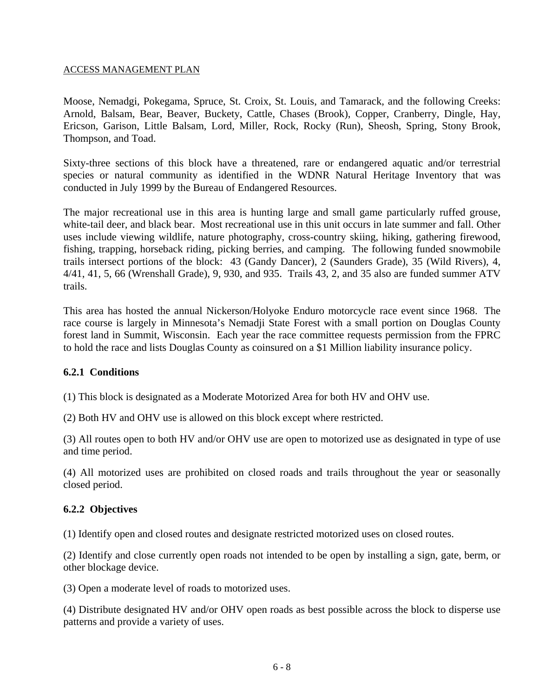Moose, Nemadgi, Pokegama, Spruce, St. Croix, St. Louis, and Tamarack, and the following Creeks: Arnold, Balsam, Bear, Beaver, Buckety, Cattle, Chases (Brook), Copper, Cranberry, Dingle, Hay, Ericson, Garison, Little Balsam, Lord, Miller, Rock, Rocky (Run), Sheosh, Spring, Stony Brook, Thompson, and Toad.

Sixty-three sections of this block have a threatened, rare or endangered aquatic and/or terrestrial species or natural community as identified in the WDNR Natural Heritage Inventory that was conducted in July 1999 by the Bureau of Endangered Resources.

The major recreational use in this area is hunting large and small game particularly ruffed grouse, white-tail deer, and black bear. Most recreational use in this unit occurs in late summer and fall. Other uses include viewing wildlife, nature photography, cross-country skiing, hiking, gathering firewood, fishing, trapping, horseback riding, picking berries, and camping. The following funded snowmobile trails intersect portions of the block: 43 (Gandy Dancer), 2 (Saunders Grade), 35 (Wild Rivers), 4, 4/41, 41, 5, 66 (Wrenshall Grade), 9, 930, and 935. Trails 43, 2, and 35 also are funded summer ATV trails.

This area has hosted the annual Nickerson/Holyoke Enduro motorcycle race event since 1968. The race course is largely in Minnesota's Nemadji State Forest with a small portion on Douglas County forest land in Summit, Wisconsin. Each year the race committee requests permission from the FPRC to hold the race and lists Douglas County as coinsured on a \$1 Million liability insurance policy.

#### **6.2.1 Conditions**

(1) This block is designated as a Moderate Motorized Area for both HV and OHV use.

(2) Both HV and OHV use is allowed on this block except where restricted.

(3) All routes open to both HV and/or OHV use are open to motorized use as designated in type of use and time period.

(4) All motorized uses are prohibited on closed roads and trails throughout the year or seasonally closed period.

#### **6.2.2 Objectives**

(1) Identify open and closed routes and designate restricted motorized uses on closed routes.

(2) Identify and close currently open roads not intended to be open by installing a sign, gate, berm, or other blockage device.

(3) Open a moderate level of roads to motorized uses.

(4) Distribute designated HV and/or OHV open roads as best possible across the block to disperse use patterns and provide a variety of uses.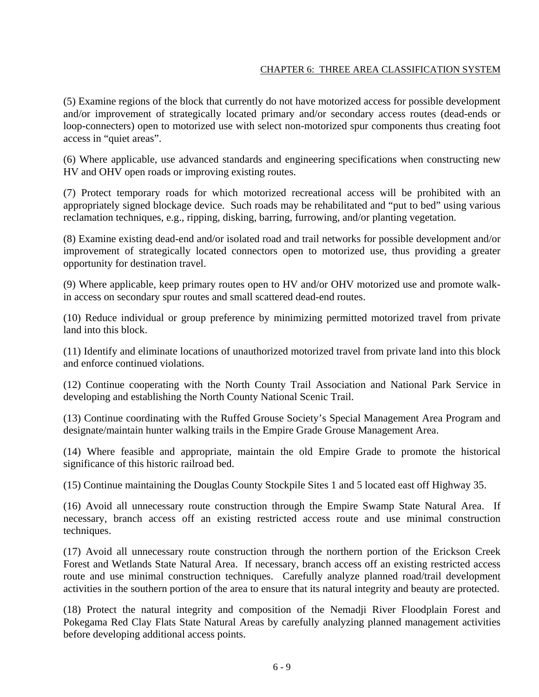(5) Examine regions of the block that currently do not have motorized access for possible development and/or improvement of strategically located primary and/or secondary access routes (dead-ends or loop-connecters) open to motorized use with select non-motorized spur components thus creating foot access in "quiet areas".

(6) Where applicable, use advanced standards and engineering specifications when constructing new HV and OHV open roads or improving existing routes.

(7) Protect temporary roads for which motorized recreational access will be prohibited with an appropriately signed blockage device. Such roads may be rehabilitated and "put to bed" using various reclamation techniques, e.g., ripping, disking, barring, furrowing, and/or planting vegetation.

(8) Examine existing dead-end and/or isolated road and trail networks for possible development and/or improvement of strategically located connectors open to motorized use, thus providing a greater opportunity for destination travel.

(9) Where applicable, keep primary routes open to HV and/or OHV motorized use and promote walkin access on secondary spur routes and small scattered dead-end routes.

(10) Reduce individual or group preference by minimizing permitted motorized travel from private land into this block.

(11) Identify and eliminate locations of unauthorized motorized travel from private land into this block and enforce continued violations.

(12) Continue cooperating with the North County Trail Association and National Park Service in developing and establishing the North County National Scenic Trail.

(13) Continue coordinating with the Ruffed Grouse Society's Special Management Area Program and designate/maintain hunter walking trails in the Empire Grade Grouse Management Area.

(14) Where feasible and appropriate, maintain the old Empire Grade to promote the historical significance of this historic railroad bed.

(15) Continue maintaining the Douglas County Stockpile Sites 1 and 5 located east off Highway 35.

(16) Avoid all unnecessary route construction through the Empire Swamp State Natural Area. If necessary, branch access off an existing restricted access route and use minimal construction techniques.

(17) Avoid all unnecessary route construction through the northern portion of the Erickson Creek Forest and Wetlands State Natural Area. If necessary, branch access off an existing restricted access route and use minimal construction techniques. Carefully analyze planned road/trail development activities in the southern portion of the area to ensure that its natural integrity and beauty are protected.

(18) Protect the natural integrity and composition of the Nemadji River Floodplain Forest and Pokegama Red Clay Flats State Natural Areas by carefully analyzing planned management activities before developing additional access points.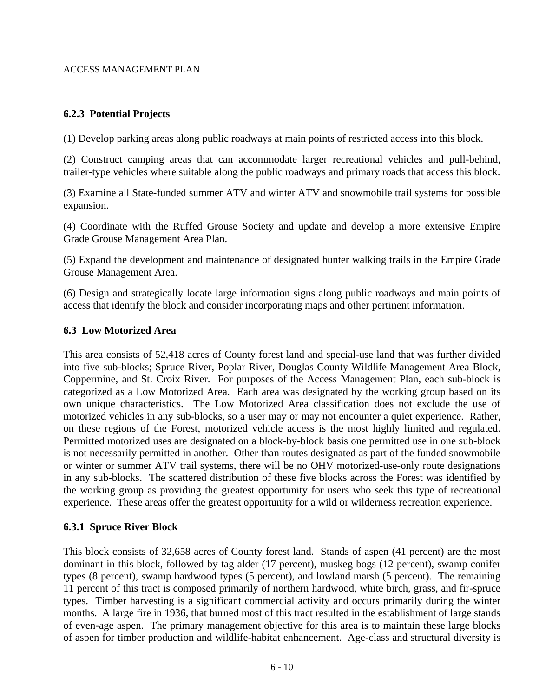## **6.2.3 Potential Projects**

(1) Develop parking areas along public roadways at main points of restricted access into this block.

(2) Construct camping areas that can accommodate larger recreational vehicles and pull-behind, trailer-type vehicles where suitable along the public roadways and primary roads that access this block.

(3) Examine all State-funded summer ATV and winter ATV and snowmobile trail systems for possible expansion.

(4) Coordinate with the Ruffed Grouse Society and update and develop a more extensive Empire Grade Grouse Management Area Plan.

(5) Expand the development and maintenance of designated hunter walking trails in the Empire Grade Grouse Management Area.

(6) Design and strategically locate large information signs along public roadways and main points of access that identify the block and consider incorporating maps and other pertinent information.

#### **6.3 Low Motorized Area**

This area consists of 52,418 acres of County forest land and special-use land that was further divided into five sub-blocks; Spruce River, Poplar River, Douglas County Wildlife Management Area Block, Coppermine, and St. Croix River. For purposes of the Access Management Plan, each sub-block is categorized as a Low Motorized Area. Each area was designated by the working group based on its own unique characteristics. The Low Motorized Area classification does not exclude the use of motorized vehicles in any sub-blocks, so a user may or may not encounter a quiet experience. Rather, on these regions of the Forest, motorized vehicle access is the most highly limited and regulated. Permitted motorized uses are designated on a block-by-block basis one permitted use in one sub-block is not necessarily permitted in another. Other than routes designated as part of the funded snowmobile or winter or summer ATV trail systems, there will be no OHV motorized-use-only route designations in any sub-blocks. The scattered distribution of these five blocks across the Forest was identified by the working group as providing the greatest opportunity for users who seek this type of recreational experience. These areas offer the greatest opportunity for a wild or wilderness recreation experience.

## **6.3.1 Spruce River Block**

This block consists of 32,658 acres of County forest land. Stands of aspen (41 percent) are the most dominant in this block, followed by tag alder (17 percent), muskeg bogs (12 percent), swamp conifer types (8 percent), swamp hardwood types (5 percent), and lowland marsh (5 percent). The remaining 11 percent of this tract is composed primarily of northern hardwood, white birch, grass, and fir-spruce types. Timber harvesting is a significant commercial activity and occurs primarily during the winter months. A large fire in 1936, that burned most of this tract resulted in the establishment of large stands of even-age aspen. The primary management objective for this area is to maintain these large blocks of aspen for timber production and wildlife-habitat enhancement. Age-class and structural diversity is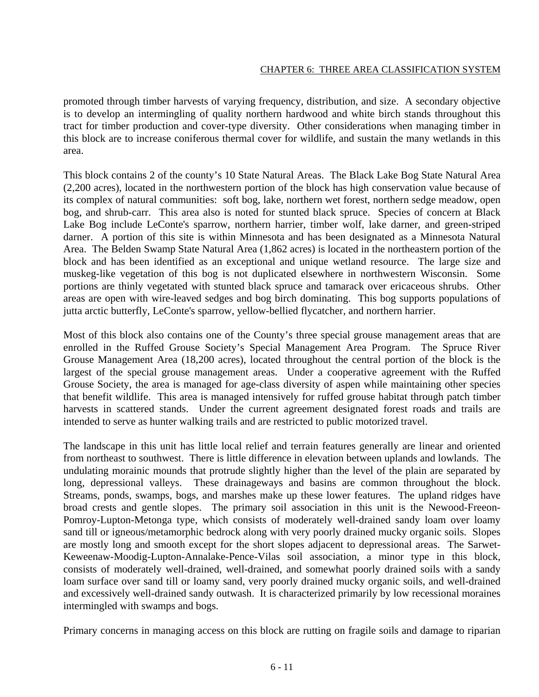promoted through timber harvests of varying frequency, distribution, and size. A secondary objective is to develop an intermingling of quality northern hardwood and white birch stands throughout this tract for timber production and cover-type diversity. Other considerations when managing timber in this block are to increase coniferous thermal cover for wildlife, and sustain the many wetlands in this area.

This block contains 2 of the county's 10 State Natural Areas. The Black Lake Bog State Natural Area (2,200 acres), located in the northwestern portion of the block has high conservation value because of its complex of natural communities: soft bog, lake, northern wet forest, northern sedge meadow, open bog, and shrub-carr. This area also is noted for stunted black spruce. Species of concern at Black Lake Bog include LeConte's sparrow, northern harrier, timber wolf, lake darner, and green-striped darner. A portion of this site is within Minnesota and has been designated as a Minnesota Natural Area. The Belden Swamp State Natural Area (1,862 acres) is located in the northeastern portion of the block and has been identified as an exceptional and unique wetland resource. The large size and muskeg-like vegetation of this bog is not duplicated elsewhere in northwestern Wisconsin. Some portions are thinly vegetated with stunted black spruce and tamarack over ericaceous shrubs. Other areas are open with wire-leaved sedges and bog birch dominating. This bog supports populations of jutta arctic butterfly, LeConte's sparrow, yellow-bellied flycatcher, and northern harrier.

Most of this block also contains one of the County's three special grouse management areas that are enrolled in the Ruffed Grouse Society's Special Management Area Program. The Spruce River Grouse Management Area (18,200 acres), located throughout the central portion of the block is the largest of the special grouse management areas. Under a cooperative agreement with the Ruffed Grouse Society, the area is managed for age-class diversity of aspen while maintaining other species that benefit wildlife. This area is managed intensively for ruffed grouse habitat through patch timber harvests in scattered stands. Under the current agreement designated forest roads and trails are intended to serve as hunter walking trails and are restricted to public motorized travel.

The landscape in this unit has little local relief and terrain features generally are linear and oriented from northeast to southwest. There is little difference in elevation between uplands and lowlands. The undulating morainic mounds that protrude slightly higher than the level of the plain are separated by long, depressional valleys. These drainageways and basins are common throughout the block. Streams, ponds, swamps, bogs, and marshes make up these lower features. The upland ridges have broad crests and gentle slopes. The primary soil association in this unit is the Newood-Freeon-Pomroy-Lupton-Metonga type, which consists of moderately well-drained sandy loam over loamy sand till or igneous/metamorphic bedrock along with very poorly drained mucky organic soils. Slopes are mostly long and smooth except for the short slopes adjacent to depressional areas. The Sarwet-Keweenaw-Moodig-Lupton-Annalake-Pence-Vilas soil association, a minor type in this block, consists of moderately well-drained, well-drained, and somewhat poorly drained soils with a sandy loam surface over sand till or loamy sand, very poorly drained mucky organic soils, and well-drained and excessively well-drained sandy outwash. It is characterized primarily by low recessional moraines intermingled with swamps and bogs.

Primary concerns in managing access on this block are rutting on fragile soils and damage to riparian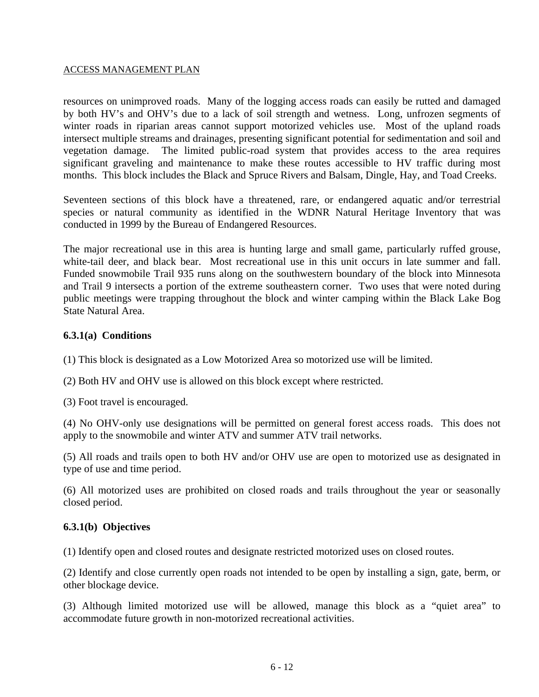resources on unimproved roads. Many of the logging access roads can easily be rutted and damaged by both HV's and OHV's due to a lack of soil strength and wetness. Long, unfrozen segments of winter roads in riparian areas cannot support motorized vehicles use. Most of the upland roads intersect multiple streams and drainages, presenting significant potential for sedimentation and soil and vegetation damage. The limited public-road system that provides access to the area requires significant graveling and maintenance to make these routes accessible to HV traffic during most months. This block includes the Black and Spruce Rivers and Balsam, Dingle, Hay, and Toad Creeks.

Seventeen sections of this block have a threatened, rare, or endangered aquatic and/or terrestrial species or natural community as identified in the WDNR Natural Heritage Inventory that was conducted in 1999 by the Bureau of Endangered Resources.

The major recreational use in this area is hunting large and small game, particularly ruffed grouse, white-tail deer, and black bear. Most recreational use in this unit occurs in late summer and fall. Funded snowmobile Trail 935 runs along on the southwestern boundary of the block into Minnesota and Trail 9 intersects a portion of the extreme southeastern corner. Two uses that were noted during public meetings were trapping throughout the block and winter camping within the Black Lake Bog State Natural Area.

## **6.3.1(a) Conditions**

(1) This block is designated as a Low Motorized Area so motorized use will be limited.

(2) Both HV and OHV use is allowed on this block except where restricted.

(3) Foot travel is encouraged.

(4) No OHV-only use designations will be permitted on general forest access roads. This does not apply to the snowmobile and winter ATV and summer ATV trail networks.

(5) All roads and trails open to both HV and/or OHV use are open to motorized use as designated in type of use and time period.

(6) All motorized uses are prohibited on closed roads and trails throughout the year or seasonally closed period.

## **6.3.1(b) Objectives**

(1) Identify open and closed routes and designate restricted motorized uses on closed routes.

(2) Identify and close currently open roads not intended to be open by installing a sign, gate, berm, or other blockage device.

(3) Although limited motorized use will be allowed, manage this block as a "quiet area" to accommodate future growth in non-motorized recreational activities.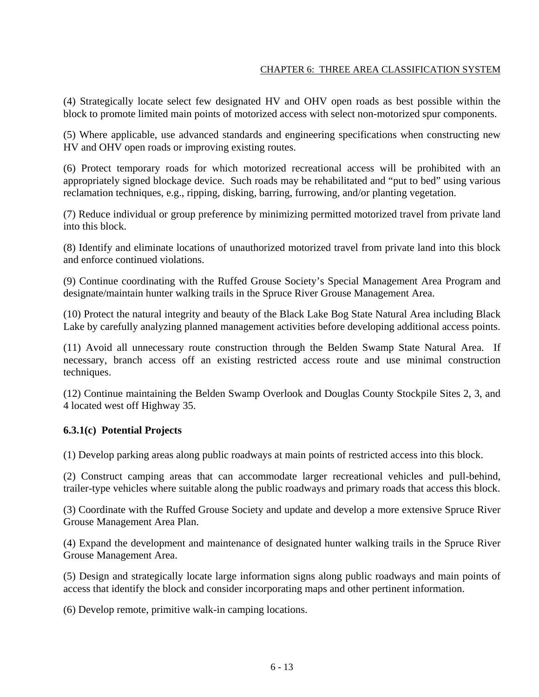(4) Strategically locate select few designated HV and OHV open roads as best possible within the block to promote limited main points of motorized access with select non-motorized spur components.

(5) Where applicable, use advanced standards and engineering specifications when constructing new HV and OHV open roads or improving existing routes.

(6) Protect temporary roads for which motorized recreational access will be prohibited with an appropriately signed blockage device. Such roads may be rehabilitated and "put to bed" using various reclamation techniques, e.g., ripping, disking, barring, furrowing, and/or planting vegetation.

(7) Reduce individual or group preference by minimizing permitted motorized travel from private land into this block.

(8) Identify and eliminate locations of unauthorized motorized travel from private land into this block and enforce continued violations.

(9) Continue coordinating with the Ruffed Grouse Society's Special Management Area Program and designate/maintain hunter walking trails in the Spruce River Grouse Management Area.

(10) Protect the natural integrity and beauty of the Black Lake Bog State Natural Area including Black Lake by carefully analyzing planned management activities before developing additional access points.

(11) Avoid all unnecessary route construction through the Belden Swamp State Natural Area. If necessary, branch access off an existing restricted access route and use minimal construction techniques.

(12) Continue maintaining the Belden Swamp Overlook and Douglas County Stockpile Sites 2, 3, and 4 located west off Highway 35.

## **6.3.1(c) Potential Projects**

(1) Develop parking areas along public roadways at main points of restricted access into this block.

(2) Construct camping areas that can accommodate larger recreational vehicles and pull-behind, trailer-type vehicles where suitable along the public roadways and primary roads that access this block.

(3) Coordinate with the Ruffed Grouse Society and update and develop a more extensive Spruce River Grouse Management Area Plan.

(4) Expand the development and maintenance of designated hunter walking trails in the Spruce River Grouse Management Area.

(5) Design and strategically locate large information signs along public roadways and main points of access that identify the block and consider incorporating maps and other pertinent information.

(6) Develop remote, primitive walk-in camping locations.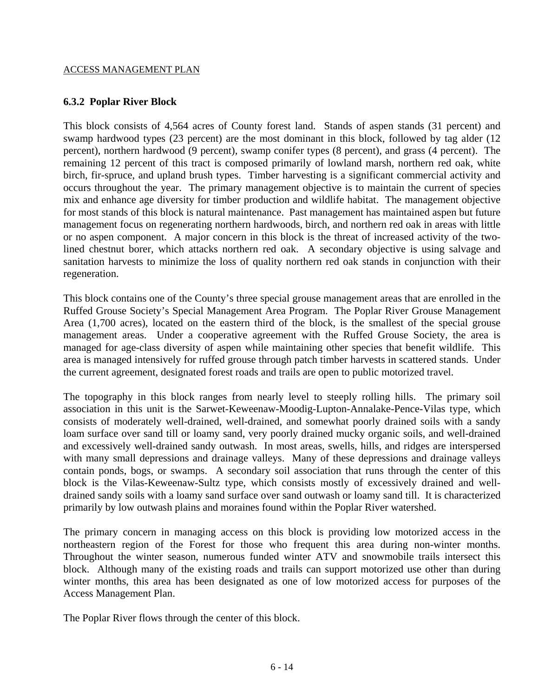# **6.3.2 Poplar River Block**

This block consists of 4,564 acres of County forest land. Stands of aspen stands (31 percent) and swamp hardwood types (23 percent) are the most dominant in this block, followed by tag alder (12 percent), northern hardwood (9 percent), swamp conifer types (8 percent), and grass (4 percent). The remaining 12 percent of this tract is composed primarily of lowland marsh, northern red oak, white birch, fir-spruce, and upland brush types. Timber harvesting is a significant commercial activity and occurs throughout the year. The primary management objective is to maintain the current of species mix and enhance age diversity for timber production and wildlife habitat. The management objective for most stands of this block is natural maintenance. Past management has maintained aspen but future management focus on regenerating northern hardwoods, birch, and northern red oak in areas with little or no aspen component. A major concern in this block is the threat of increased activity of the twolined chestnut borer, which attacks northern red oak. A secondary objective is using salvage and sanitation harvests to minimize the loss of quality northern red oak stands in conjunction with their regeneration.

This block contains one of the County's three special grouse management areas that are enrolled in the Ruffed Grouse Society's Special Management Area Program. The Poplar River Grouse Management Area (1,700 acres), located on the eastern third of the block, is the smallest of the special grouse management areas. Under a cooperative agreement with the Ruffed Grouse Society, the area is managed for age-class diversity of aspen while maintaining other species that benefit wildlife. This area is managed intensively for ruffed grouse through patch timber harvests in scattered stands. Under the current agreement, designated forest roads and trails are open to public motorized travel.

The topography in this block ranges from nearly level to steeply rolling hills. The primary soil association in this unit is the Sarwet-Keweenaw-Moodig-Lupton-Annalake-Pence-Vilas type, which consists of moderately well-drained, well-drained, and somewhat poorly drained soils with a sandy loam surface over sand till or loamy sand, very poorly drained mucky organic soils, and well-drained and excessively well-drained sandy outwash. In most areas, swells, hills, and ridges are interspersed with many small depressions and drainage valleys. Many of these depressions and drainage valleys contain ponds, bogs, or swamps. A secondary soil association that runs through the center of this block is the Vilas-Keweenaw-Sultz type, which consists mostly of excessively drained and welldrained sandy soils with a loamy sand surface over sand outwash or loamy sand till. It is characterized primarily by low outwash plains and moraines found within the Poplar River watershed.

The primary concern in managing access on this block is providing low motorized access in the northeastern region of the Forest for those who frequent this area during non-winter months. Throughout the winter season, numerous funded winter ATV and snowmobile trails intersect this block. Although many of the existing roads and trails can support motorized use other than during winter months, this area has been designated as one of low motorized access for purposes of the Access Management Plan.

The Poplar River flows through the center of this block.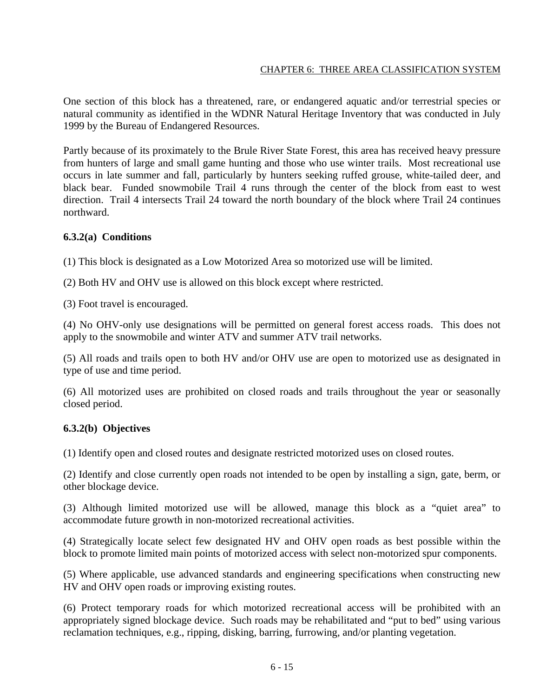One section of this block has a threatened, rare, or endangered aquatic and/or terrestrial species or natural community as identified in the WDNR Natural Heritage Inventory that was conducted in July 1999 by the Bureau of Endangered Resources.

Partly because of its proximately to the Brule River State Forest, this area has received heavy pressure from hunters of large and small game hunting and those who use winter trails. Most recreational use occurs in late summer and fall, particularly by hunters seeking ruffed grouse, white-tailed deer, and black bear. Funded snowmobile Trail 4 runs through the center of the block from east to west direction. Trail 4 intersects Trail 24 toward the north boundary of the block where Trail 24 continues northward.

## **6.3.2(a) Conditions**

(1) This block is designated as a Low Motorized Area so motorized use will be limited.

(2) Both HV and OHV use is allowed on this block except where restricted.

(3) Foot travel is encouraged.

(4) No OHV-only use designations will be permitted on general forest access roads. This does not apply to the snowmobile and winter ATV and summer ATV trail networks.

(5) All roads and trails open to both HV and/or OHV use are open to motorized use as designated in type of use and time period.

(6) All motorized uses are prohibited on closed roads and trails throughout the year or seasonally closed period.

## **6.3.2(b) Objectives**

(1) Identify open and closed routes and designate restricted motorized uses on closed routes.

(2) Identify and close currently open roads not intended to be open by installing a sign, gate, berm, or other blockage device.

(3) Although limited motorized use will be allowed, manage this block as a "quiet area" to accommodate future growth in non-motorized recreational activities.

(4) Strategically locate select few designated HV and OHV open roads as best possible within the block to promote limited main points of motorized access with select non-motorized spur components.

(5) Where applicable, use advanced standards and engineering specifications when constructing new HV and OHV open roads or improving existing routes.

(6) Protect temporary roads for which motorized recreational access will be prohibited with an appropriately signed blockage device. Such roads may be rehabilitated and "put to bed" using various reclamation techniques, e.g., ripping, disking, barring, furrowing, and/or planting vegetation.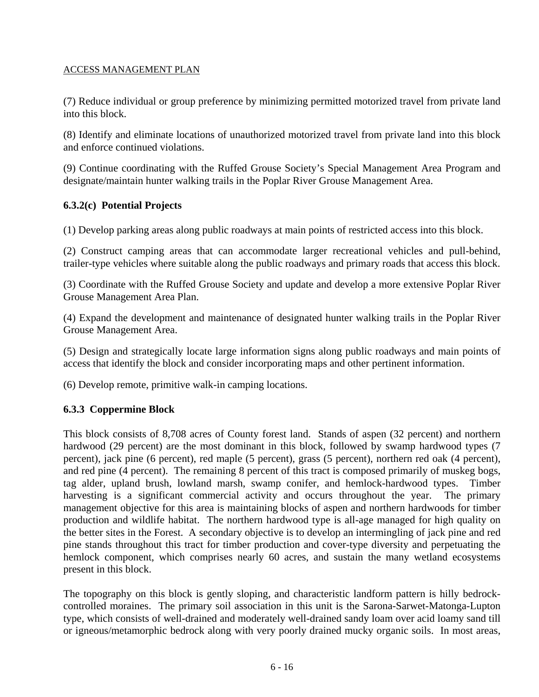(7) Reduce individual or group preference by minimizing permitted motorized travel from private land into this block.

(8) Identify and eliminate locations of unauthorized motorized travel from private land into this block and enforce continued violations.

(9) Continue coordinating with the Ruffed Grouse Society's Special Management Area Program and designate/maintain hunter walking trails in the Poplar River Grouse Management Area.

## **6.3.2(c) Potential Projects**

(1) Develop parking areas along public roadways at main points of restricted access into this block.

(2) Construct camping areas that can accommodate larger recreational vehicles and pull-behind, trailer-type vehicles where suitable along the public roadways and primary roads that access this block.

(3) Coordinate with the Ruffed Grouse Society and update and develop a more extensive Poplar River Grouse Management Area Plan.

(4) Expand the development and maintenance of designated hunter walking trails in the Poplar River Grouse Management Area.

(5) Design and strategically locate large information signs along public roadways and main points of access that identify the block and consider incorporating maps and other pertinent information.

(6) Develop remote, primitive walk-in camping locations.

## **6.3.3 Coppermine Block**

This block consists of 8,708 acres of County forest land. Stands of aspen (32 percent) and northern hardwood (29 percent) are the most dominant in this block, followed by swamp hardwood types (7 percent), jack pine (6 percent), red maple (5 percent), grass (5 percent), northern red oak (4 percent), and red pine (4 percent). The remaining 8 percent of this tract is composed primarily of muskeg bogs, tag alder, upland brush, lowland marsh, swamp conifer, and hemlock-hardwood types. Timber harvesting is a significant commercial activity and occurs throughout the year. The primary management objective for this area is maintaining blocks of aspen and northern hardwoods for timber production and wildlife habitat. The northern hardwood type is all-age managed for high quality on the better sites in the Forest. A secondary objective is to develop an intermingling of jack pine and red pine stands throughout this tract for timber production and cover-type diversity and perpetuating the hemlock component, which comprises nearly 60 acres, and sustain the many wetland ecosystems present in this block.

The topography on this block is gently sloping, and characteristic landform pattern is hilly bedrockcontrolled moraines. The primary soil association in this unit is the Sarona-Sarwet-Matonga-Lupton type, which consists of well-drained and moderately well-drained sandy loam over acid loamy sand till or igneous/metamorphic bedrock along with very poorly drained mucky organic soils. In most areas,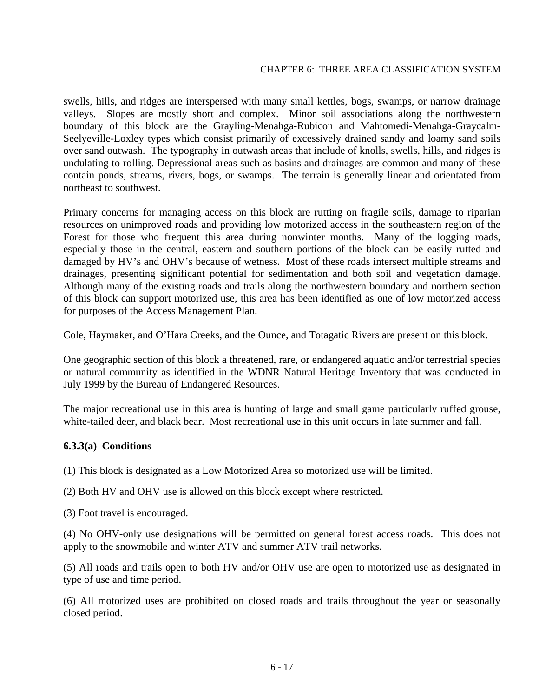swells, hills, and ridges are interspersed with many small kettles, bogs, swamps, or narrow drainage valleys. Slopes are mostly short and complex. Minor soil associations along the northwestern boundary of this block are the Grayling-Menahga-Rubicon and Mahtomedi-Menahga-Graycalm-Seelyeville-Loxley types which consist primarily of excessively drained sandy and loamy sand soils over sand outwash. The typography in outwash areas that include of knolls, swells, hills, and ridges is undulating to rolling. Depressional areas such as basins and drainages are common and many of these contain ponds, streams, rivers, bogs, or swamps. The terrain is generally linear and orientated from northeast to southwest.

Primary concerns for managing access on this block are rutting on fragile soils, damage to riparian resources on unimproved roads and providing low motorized access in the southeastern region of the Forest for those who frequent this area during nonwinter months. Many of the logging roads, especially those in the central, eastern and southern portions of the block can be easily rutted and damaged by HV's and OHV's because of wetness. Most of these roads intersect multiple streams and drainages, presenting significant potential for sedimentation and both soil and vegetation damage. Although many of the existing roads and trails along the northwestern boundary and northern section of this block can support motorized use, this area has been identified as one of low motorized access for purposes of the Access Management Plan.

Cole, Haymaker, and O'Hara Creeks, and the Ounce, and Totagatic Rivers are present on this block.

One geographic section of this block a threatened, rare, or endangered aquatic and/or terrestrial species or natural community as identified in the WDNR Natural Heritage Inventory that was conducted in July 1999 by the Bureau of Endangered Resources.

The major recreational use in this area is hunting of large and small game particularly ruffed grouse, white-tailed deer, and black bear. Most recreational use in this unit occurs in late summer and fall.

#### **6.3.3(a) Conditions**

(1) This block is designated as a Low Motorized Area so motorized use will be limited.

(2) Both HV and OHV use is allowed on this block except where restricted.

(3) Foot travel is encouraged.

(4) No OHV-only use designations will be permitted on general forest access roads. This does not apply to the snowmobile and winter ATV and summer ATV trail networks.

(5) All roads and trails open to both HV and/or OHV use are open to motorized use as designated in type of use and time period.

(6) All motorized uses are prohibited on closed roads and trails throughout the year or seasonally closed period.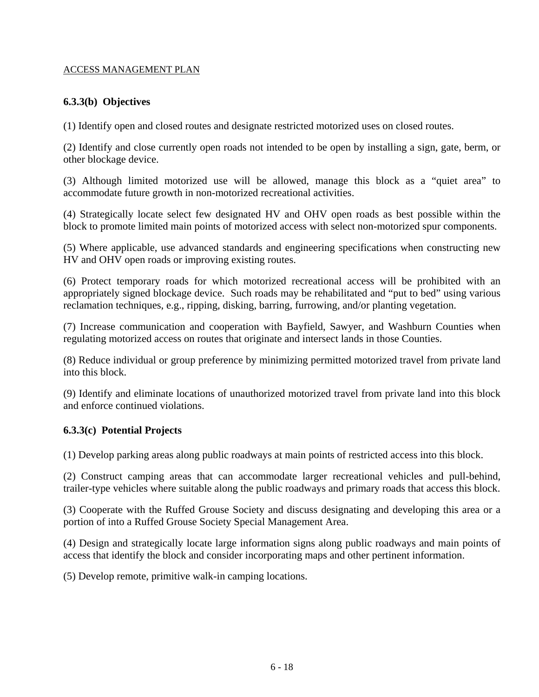# **6.3.3(b) Objectives**

(1) Identify open and closed routes and designate restricted motorized uses on closed routes.

(2) Identify and close currently open roads not intended to be open by installing a sign, gate, berm, or other blockage device.

(3) Although limited motorized use will be allowed, manage this block as a "quiet area" to accommodate future growth in non-motorized recreational activities.

(4) Strategically locate select few designated HV and OHV open roads as best possible within the block to promote limited main points of motorized access with select non-motorized spur components.

(5) Where applicable, use advanced standards and engineering specifications when constructing new HV and OHV open roads or improving existing routes.

(6) Protect temporary roads for which motorized recreational access will be prohibited with an appropriately signed blockage device. Such roads may be rehabilitated and "put to bed" using various reclamation techniques, e.g., ripping, disking, barring, furrowing, and/or planting vegetation.

(7) Increase communication and cooperation with Bayfield, Sawyer, and Washburn Counties when regulating motorized access on routes that originate and intersect lands in those Counties.

(8) Reduce individual or group preference by minimizing permitted motorized travel from private land into this block.

(9) Identify and eliminate locations of unauthorized motorized travel from private land into this block and enforce continued violations.

## **6.3.3(c) Potential Projects**

(1) Develop parking areas along public roadways at main points of restricted access into this block.

(2) Construct camping areas that can accommodate larger recreational vehicles and pull-behind, trailer-type vehicles where suitable along the public roadways and primary roads that access this block.

(3) Cooperate with the Ruffed Grouse Society and discuss designating and developing this area or a portion of into a Ruffed Grouse Society Special Management Area.

(4) Design and strategically locate large information signs along public roadways and main points of access that identify the block and consider incorporating maps and other pertinent information.

(5) Develop remote, primitive walk-in camping locations.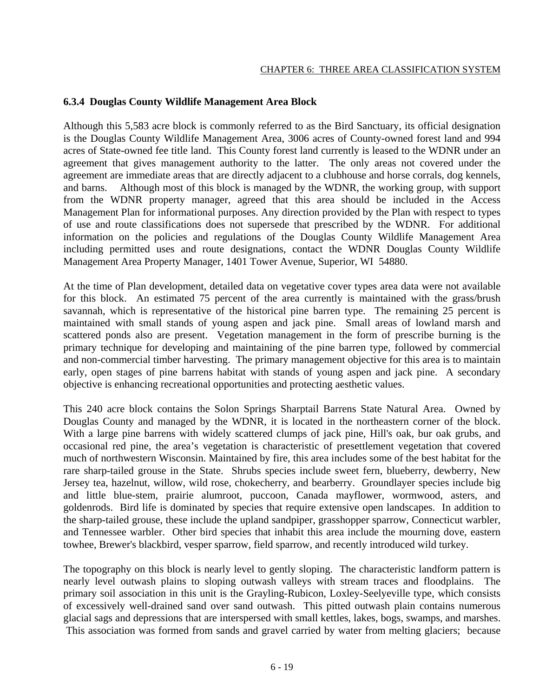## **6.3.4 Douglas County Wildlife Management Area Block**

Although this 5,583 acre block is commonly referred to as the Bird Sanctuary, its official designation is the Douglas County Wildlife Management Area, 3006 acres of County-owned forest land and 994 acres of State-owned fee title land. This County forest land currently is leased to the WDNR under an agreement that gives management authority to the latter. The only areas not covered under the agreement are immediate areas that are directly adjacent to a clubhouse and horse corrals, dog kennels, and barns. Although most of this block is managed by the WDNR, the working group, with support from the WDNR property manager, agreed that this area should be included in the Access Management Plan for informational purposes. Any direction provided by the Plan with respect to types of use and route classifications does not supersede that prescribed by the WDNR. For additional information on the policies and regulations of the Douglas County Wildlife Management Area including permitted uses and route designations, contact the WDNR Douglas County Wildlife Management Area Property Manager, 1401 Tower Avenue, Superior, WI 54880.

At the time of Plan development, detailed data on vegetative cover types area data were not available for this block. An estimated 75 percent of the area currently is maintained with the grass/brush savannah, which is representative of the historical pine barren type. The remaining 25 percent is maintained with small stands of young aspen and jack pine. Small areas of lowland marsh and scattered ponds also are present. Vegetation management in the form of prescribe burning is the primary technique for developing and maintaining of the pine barren type, followed by commercial and non-commercial timber harvesting. The primary management objective for this area is to maintain early, open stages of pine barrens habitat with stands of young aspen and jack pine. A secondary objective is enhancing recreational opportunities and protecting aesthetic values.

This 240 acre block contains the Solon Springs Sharptail Barrens State Natural Area. Owned by Douglas County and managed by the WDNR, it is located in the northeastern corner of the block. With a large pine barrens with widely scattered clumps of jack pine, Hill's oak, bur oak grubs, and occasional red pine, the area's vegetation is characteristic of presettlement vegetation that covered much of northwestern Wisconsin. Maintained by fire, this area includes some of the best habitat for the rare sharp-tailed grouse in the State. Shrubs species include sweet fern, blueberry, dewberry, New Jersey tea, hazelnut, willow, wild rose, chokecherry, and bearberry. Groundlayer species include big and little blue-stem, prairie alumroot, puccoon, Canada mayflower, wormwood, asters, and goldenrods. Bird life is dominated by species that require extensive open landscapes. In addition to the sharp-tailed grouse, these include the upland sandpiper, grasshopper sparrow, Connecticut warbler, and Tennessee warbler. Other bird species that inhabit this area include the mourning dove, eastern towhee, Brewer's blackbird, vesper sparrow, field sparrow, and recently introduced wild turkey.

The topography on this block is nearly level to gently sloping. The characteristic landform pattern is nearly level outwash plains to sloping outwash valleys with stream traces and floodplains. The primary soil association in this unit is the Grayling-Rubicon, Loxley-Seelyeville type, which consists of excessively well-drained sand over sand outwash. This pitted outwash plain contains numerous glacial sags and depressions that are interspersed with small kettles, lakes, bogs, swamps, and marshes. This association was formed from sands and gravel carried by water from melting glaciers; because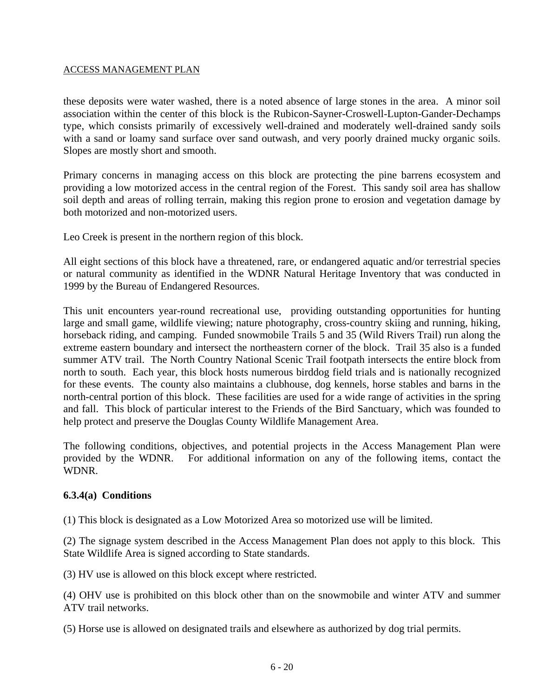these deposits were water washed, there is a noted absence of large stones in the area. A minor soil association within the center of this block is the Rubicon-Sayner-Croswell-Lupton-Gander-Dechamps type, which consists primarily of excessively well-drained and moderately well-drained sandy soils with a sand or loamy sand surface over sand outwash, and very poorly drained mucky organic soils. Slopes are mostly short and smooth.

Primary concerns in managing access on this block are protecting the pine barrens ecosystem and providing a low motorized access in the central region of the Forest. This sandy soil area has shallow soil depth and areas of rolling terrain, making this region prone to erosion and vegetation damage by both motorized and non-motorized users.

Leo Creek is present in the northern region of this block.

All eight sections of this block have a threatened, rare, or endangered aquatic and/or terrestrial species or natural community as identified in the WDNR Natural Heritage Inventory that was conducted in 1999 by the Bureau of Endangered Resources.

This unit encounters year-round recreational use, providing outstanding opportunities for hunting large and small game, wildlife viewing; nature photography, cross-country skiing and running, hiking, horseback riding, and camping. Funded snowmobile Trails 5 and 35 (Wild Rivers Trail) run along the extreme eastern boundary and intersect the northeastern corner of the block. Trail 35 also is a funded summer ATV trail. The North Country National Scenic Trail footpath intersects the entire block from north to south. Each year, this block hosts numerous birddog field trials and is nationally recognized for these events. The county also maintains a clubhouse, dog kennels, horse stables and barns in the north-central portion of this block. These facilities are used for a wide range of activities in the spring and fall. This block of particular interest to the Friends of the Bird Sanctuary, which was founded to help protect and preserve the Douglas County Wildlife Management Area.

The following conditions, objectives, and potential projects in the Access Management Plan were provided by the WDNR. For additional information on any of the following items, contact the WDNR.

#### **6.3.4(a) Conditions**

(1) This block is designated as a Low Motorized Area so motorized use will be limited.

(2) The signage system described in the Access Management Plan does not apply to this block. This State Wildlife Area is signed according to State standards.

(3) HV use is allowed on this block except where restricted.

(4) OHV use is prohibited on this block other than on the snowmobile and winter ATV and summer ATV trail networks.

(5) Horse use is allowed on designated trails and elsewhere as authorized by dog trial permits.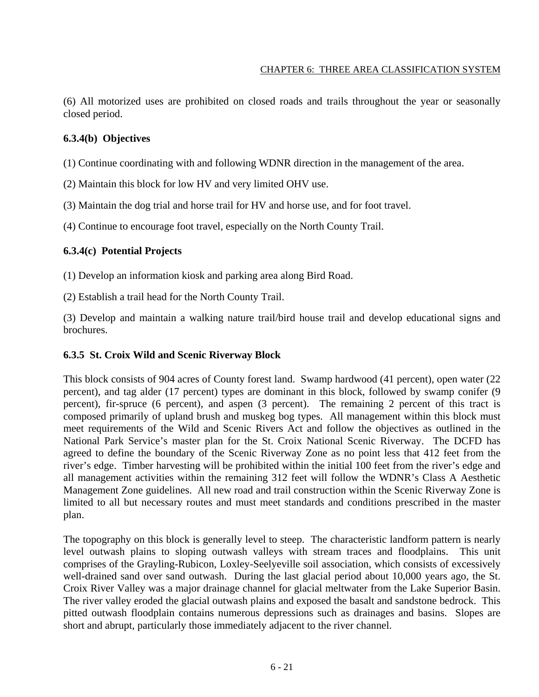(6) All motorized uses are prohibited on closed roads and trails throughout the year or seasonally closed period.

# **6.3.4(b) Objectives**

(1) Continue coordinating with and following WDNR direction in the management of the area.

(2) Maintain this block for low HV and very limited OHV use.

(3) Maintain the dog trial and horse trail for HV and horse use, and for foot travel.

(4) Continue to encourage foot travel, especially on the North County Trail.

## **6.3.4(c) Potential Projects**

(1) Develop an information kiosk and parking area along Bird Road.

(2) Establish a trail head for the North County Trail.

(3) Develop and maintain a walking nature trail/bird house trail and develop educational signs and brochures.

## **6.3.5 St. Croix Wild and Scenic Riverway Block**

This block consists of 904 acres of County forest land. Swamp hardwood (41 percent), open water (22 percent), and tag alder (17 percent) types are dominant in this block, followed by swamp conifer (9 percent), fir-spruce (6 percent), and aspen (3 percent). The remaining 2 percent of this tract is composed primarily of upland brush and muskeg bog types. All management within this block must meet requirements of the Wild and Scenic Rivers Act and follow the objectives as outlined in the National Park Service's master plan for the St. Croix National Scenic Riverway. The DCFD has agreed to define the boundary of the Scenic Riverway Zone as no point less that 412 feet from the river's edge. Timber harvesting will be prohibited within the initial 100 feet from the river's edge and all management activities within the remaining 312 feet will follow the WDNR's Class A Aesthetic Management Zone guidelines. All new road and trail construction within the Scenic Riverway Zone is limited to all but necessary routes and must meet standards and conditions prescribed in the master plan.

The topography on this block is generally level to steep. The characteristic landform pattern is nearly level outwash plains to sloping outwash valleys with stream traces and floodplains. This unit comprises of the Grayling-Rubicon, Loxley-Seelyeville soil association, which consists of excessively well-drained sand over sand outwash. During the last glacial period about 10,000 years ago, the St. Croix River Valley was a major drainage channel for glacial meltwater from the Lake Superior Basin. The river valley eroded the glacial outwash plains and exposed the basalt and sandstone bedrock. This pitted outwash floodplain contains numerous depressions such as drainages and basins. Slopes are short and abrupt, particularly those immediately adjacent to the river channel.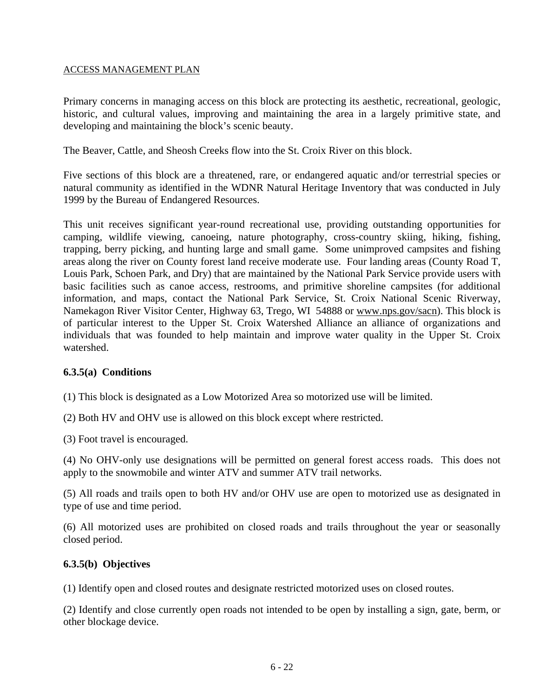Primary concerns in managing access on this block are protecting its aesthetic, recreational, geologic, historic, and cultural values, improving and maintaining the area in a largely primitive state, and developing and maintaining the block's scenic beauty.

The Beaver, Cattle, and Sheosh Creeks flow into the St. Croix River on this block.

Five sections of this block are a threatened, rare, or endangered aquatic and/or terrestrial species or natural community as identified in the WDNR Natural Heritage Inventory that was conducted in July 1999 by the Bureau of Endangered Resources.

This unit receives significant year-round recreational use, providing outstanding opportunities for camping, wildlife viewing, canoeing, nature photography, cross-country skiing, hiking, fishing, trapping, berry picking, and hunting large and small game. Some unimproved campsites and fishing areas along the river on County forest land receive moderate use. Four landing areas (County Road T, Louis Park, Schoen Park, and Dry) that are maintained by the National Park Service provide users with basic facilities such as canoe access, restrooms, and primitive shoreline campsites (for additional information, and maps, contact the National Park Service, St. Croix National Scenic Riverway, Namekagon River Visitor Center, Highway 63, Trego, WI 54888 or [www.nps.gov/sacn\)](http://www.nps.gov/sacn). This block is of particular interest to the Upper St. Croix Watershed Alliance an alliance of organizations and individuals that was founded to help maintain and improve water quality in the Upper St. Croix watershed.

#### **6.3.5(a) Conditions**

(1) This block is designated as a Low Motorized Area so motorized use will be limited.

(2) Both HV and OHV use is allowed on this block except where restricted.

(3) Foot travel is encouraged.

(4) No OHV-only use designations will be permitted on general forest access roads. This does not apply to the snowmobile and winter ATV and summer ATV trail networks.

(5) All roads and trails open to both HV and/or OHV use are open to motorized use as designated in type of use and time period.

(6) All motorized uses are prohibited on closed roads and trails throughout the year or seasonally closed period.

#### **6.3.5(b) Objectives**

(1) Identify open and closed routes and designate restricted motorized uses on closed routes.

(2) Identify and close currently open roads not intended to be open by installing a sign, gate, berm, or other blockage device.